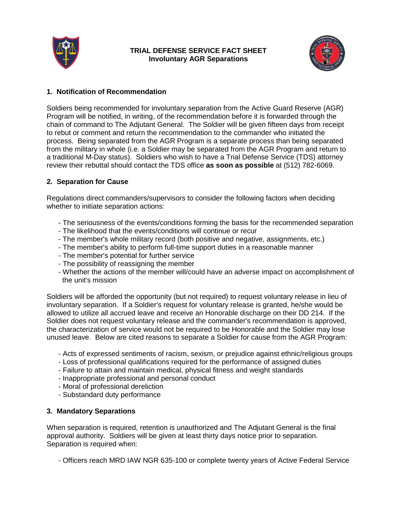

#### **TRIAL DEFENSE SERVICE FACT SHEET Involuntary AGR Separations**



### **1. Notification of Recommendation**

Soldiers being recommended for involuntary separation from the Active Guard Reserve (AGR) Program will be notified, in writing, of the recommendation before it is forwarded through the chain of command to The Adjutant General. The Soldier will be given fifteen days from receipt to rebut or comment and return the recommendation to the commander who initiated the process. Being separated from the AGR Program is a separate process than being separated from the military in whole (i.e. a Soldier may be separated from the AGR Program and return to a traditional M-Day status). Soldiers who wish to have a Trial Defense Service (TDS) attorney review their rebuttal should contact the TDS office **as soon as possible** at (512) 782-6069.

# **2. Separation for Cause**

Regulations direct commanders/supervisors to consider the following factors when deciding whether to initiate separation actions:

- The seriousness of the events/conditions forming the basis for the recommended separation
- The likelihood that the events/conditions will continue or recur
- The member's whole military record (both positive and negative, assignments, etc.)
- The member's ability to perform full-time support duties in a reasonable manner
- The member's potential for further service
- The possibility of reassigning the member
- Whether the actions of the member will/could have an adverse impact on accomplishment of the unit's mission

Soldiers will be afforded the opportunity (but not required) to request voluntary release in lieu of involuntary separation. If a Soldier's request for voluntary release is granted, he/she would be allowed to utilize all accrued leave and receive an Honorable discharge on their DD 214. If the Soldier does not request voluntary release and the commander's recommendation is approved, the characterization of service would not be required to be Honorable and the Soldier may lose unused leave. Below are cited reasons to separate a Soldier for cause from the AGR Program:

- Acts of expressed sentiments of racism, sexism, or prejudice against ethnic/religious groups
- Loss of professional qualifications required for the performance of assigned duties
- Failure to attain and maintain medical, physical fitness and weight standards
- Inappropriate professional and personal conduct
- Moral of professional dereliction
- Substandard duty performance

# **3. Mandatory Separations**

When separation is required, retention is unauthorized and The Adjutant General is the final approval authority. Soldiers will be given at least thirty days notice prior to separation. Separation is required when:

- Officers reach MRD IAW NGR 635-100 or complete twenty years of Active Federal Service